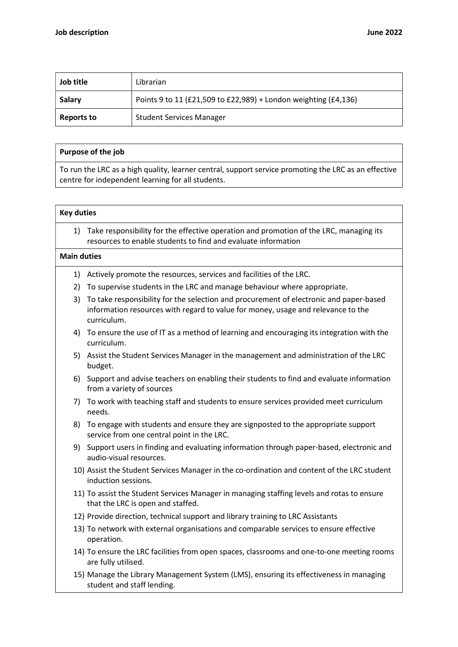| Job title  | Librarian                                                       |
|------------|-----------------------------------------------------------------|
| Salary     | Points 9 to 11 (£21,509 to £22,989) + London weighting (£4,136) |
| Reports to | <b>Student Services Manager</b>                                 |

## Purpose of the job

To run the LRC as a high quality, learner central, support service promoting the LRC as an effective centre for independent learning for all students.

## Key duties 1) Take responsibility for the effective operation and promotion of the LRC, managing its resources to enable students to find and evaluate information Main duties 1) Actively promote the resources, services and facilities of the LRC. 2) To supervise students in the LRC and manage behaviour where appropriate. 3) To take responsibility for the selection and procurement of electronic and paper-based information resources with regard to value for money, usage and relevance to the curriculum. 4) To ensure the use of IT as a method of learning and encouraging its integration with the curriculum. 5) Assist the Student Services Manager in the management and administration of the LRC budget. 6) Support and advise teachers on enabling their students to find and evaluate information from a variety of sources 7) To work with teaching staff and students to ensure services provided meet curriculum needs. 8) To engage with students and ensure they are signposted to the appropriate support service from one central point in the LRC. 9) Support users in finding and evaluating information through paper-based, electronic and audio-visual resources. 10) Assist the Student Services Manager in the co-ordination and content of the LRC student induction sessions. 11) To assist the Student Services Manager in managing staffing levels and rotas to ensure that the LRC is open and staffed. 12) Provide direction, technical support and library training to LRC Assistants 13) To network with external organisations and comparable services to ensure effective operation. 14) To ensure the LRC facilities from open spaces, classrooms and one-to-one meeting rooms are fully utilised. 15) Manage the Library Management System (LMS), ensuring its effectiveness in managing student and staff lending.